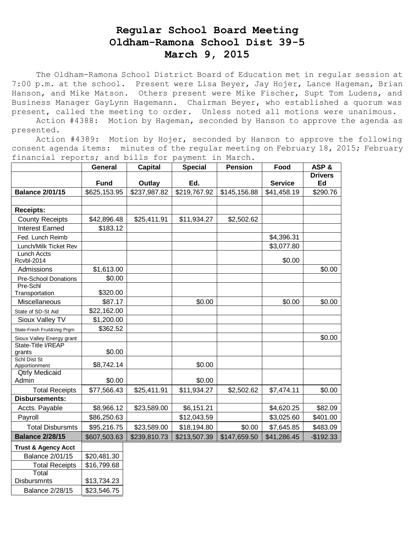## **Regular School Board Meeting Oldham-Ramona School Dist 39-5 March 9, 2015**

The Oldham-Ramona School District Board of Education met in regular session at 7:00 p.m. at the school. Present were Lisa Beyer, Jay Hojer, Lance Hageman, Brian Hanson, and Mike Matson. Others present were Mike Fischer, Supt Tom Ludens, and Business Manager GayLynn Hagemann. Chairman Beyer, who established a quorum was present, called the meeting to order. Unless noted all motions were unanimous.

 Action #4388: Motion by Hageman, seconded by Hanson to approve the agenda as presented.

 Action #4389: Motion by Hojer, seconded by Hanson to approve the following consent agenda items: minutes of the regular meeting on February 18, 2015; February financial reports; and bills for payment in March.

|                                | <b>General</b> | <b>Capital</b> | <b>Special</b> | <b>Pension</b> | Food           | ASP&                 |
|--------------------------------|----------------|----------------|----------------|----------------|----------------|----------------------|
|                                | <b>Fund</b>    | Outlay         | Ed.            |                | <b>Service</b> | <b>Drivers</b><br>Ed |
| <b>Balance 2/01/15</b>         | \$625,153.95   | \$237,987.82   | \$219,767.92   | \$145,156.88   | \$41,458.19    | \$290.76             |
|                                |                |                |                |                |                |                      |
| <b>Receipts:</b>               |                |                |                |                |                |                      |
| <b>County Receipts</b>         | \$42,896.48    | \$25,411.91    | \$11,934.27    | \$2,502.62     |                |                      |
| <b>Interest Earned</b>         | \$183.12       |                |                |                |                |                      |
| Fed. Lunch Reimb               |                |                |                |                | \$4,396.31     |                      |
| Lunch/Milk Ticket Rev          |                |                |                |                | \$3,077.80     |                      |
| Lunch Accts<br>Rcvbl-2014      |                |                |                |                | \$0.00         |                      |
| Admissions                     | \$1,613.00     |                |                |                |                | \$0.00               |
| Pre-School Donations           | \$0.00         |                |                |                |                |                      |
| Pre-Schl<br>Transportation     | \$320.00       |                |                |                |                |                      |
| Miscellaneous                  | \$87.17        |                | \$0.00         |                | \$0.00         | \$0.00               |
| State of SD-St Aid             | \$22,162.00    |                |                |                |                |                      |
| Sioux Valley TV                | \$1,200.00     |                |                |                |                |                      |
| State-Fresh Fruit&Veg Prgm     | \$362.52       |                |                |                |                |                      |
| Sioux Valley Energy grant      |                |                |                |                |                | \$0.00               |
| State-Title I/REAP<br>grants   | \$0.00         |                |                |                |                |                      |
| Schl Dist St<br>Apportionment  | \$8,742.14     |                | \$0.00         |                |                |                      |
| <b>Qtrly Medicaid</b><br>Admin | \$0.00         |                | \$0.00         |                |                |                      |
| <b>Total Receipts</b>          | \$77,566.43    | \$25,411.91    | \$11,934.27    | \$2,502.62     | \$7,474.11     | \$0.00               |
| <b>Disbursements:</b>          |                |                |                |                |                |                      |
| Accts. Payable                 | \$8,966.12     | \$23,589.00    | \$6,151.21     |                | \$4,620.25     | \$82.09              |
| Payroll                        | \$86,250.63    |                | \$12,043.59    |                | \$3,025.60     | \$401.00             |
| <b>Total Disbursmts</b>        | \$95,216.75    | \$23,589.00    | \$18,194.80    | \$0.00         | \$7,645.85     | \$483.09             |
| <b>Balance 2/28/15</b>         | \$607,503.63   | \$239,810.73   | \$213,507.39   | \$147,659.50   | \$41,286.45    | $-$192.33$           |
| <b>Trust &amp; Agency Acct</b> |                |                |                |                |                |                      |
| <b>Balance 2/01/15</b>         | \$20,481.30    |                |                |                |                |                      |
| <b>Total Receipts</b>          | \$16,799.68    |                |                |                |                |                      |
| Total                          |                |                |                |                |                |                      |

Disbursmnts | \$13,734.23 Balance 2/28/15 \ \$23,546.75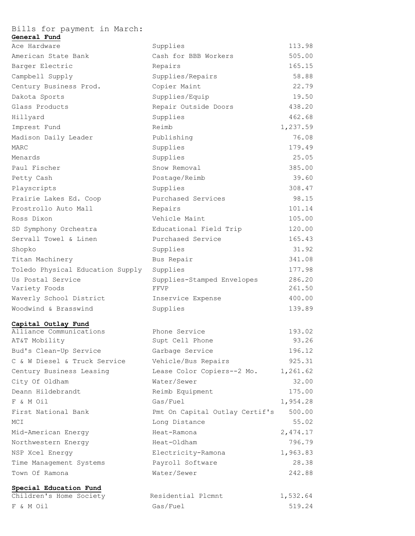| Bills for payment in March:                       |                                |          |
|---------------------------------------------------|--------------------------------|----------|
| General Fund<br>Ace Hardware                      | Supplies                       | 113.98   |
| American State Bank                               | Cash for BBB Workers           | 505.00   |
| Barger Electric                                   | Repairs                        | 165.15   |
| Campbell Supply                                   | Supplies/Repairs               | 58.88    |
| Century Business Prod.                            | Copier Maint                   | 22.79    |
| Dakota Sports                                     | Supplies/Equip                 | 19.50    |
| Glass Products                                    | Repair Outside Doors           | 438.20   |
| Hillyard                                          | Supplies                       | 462.68   |
| Imprest Fund                                      | Reimb                          | 1,237.59 |
| Madison Daily Leader                              | Publishing                     | 76.08    |
| MARC                                              | Supplies                       | 179.49   |
| Menards                                           | Supplies                       | 25.05    |
| Paul Fischer                                      | Snow Removal                   | 385.00   |
| Petty Cash                                        | Postage/Reimb                  | 39.60    |
| Playscripts                                       | Supplies                       | 308.47   |
| Prairie Lakes Ed. Coop                            | Purchased Services             | 98.15    |
| Prostrollo Auto Mall                              | Repairs                        | 101.14   |
| Ross Dixon                                        | Vehicle Maint                  | 105.00   |
| SD Symphony Orchestra                             | Educational Field Trip         | 120.00   |
| Servall Towel & Linen                             | Purchased Service              | 165.43   |
| Shopko                                            | Supplies                       | 31.92    |
| Titan Machinery                                   | Bus Repair                     | 341.08   |
| Toledo Physical Education Supply                  | Supplies                       | 177.98   |
| Us Postal Service                                 | Supplies-Stamped Envelopes     | 286.20   |
| Variety Foods                                     | FFVP                           | 261.50   |
| Waverly School District                           | Inservice Expense              | 400.00   |
| Woodwind & Brasswind                              | Supplies                       | 139.89   |
|                                                   |                                |          |
| Capital Outlay Fund<br>Alliance Communications    | Phone Service                  | 193.02   |
| AT&T Mobility                                     | Supt Cell Phone                | 93.26    |
| Bud's Clean-Up Service                            | Garbage Service                | 196.12   |
| C & W Diesel & Truck Service                      | Vehicle/Bus Repairs            | 925.31   |
| Century Business Leasing                          | Lease Color Copiers--2 Mo.     | 1,261.62 |
| City Of Oldham                                    | Water/Sewer                    | 32.00    |
| Deann Hildebrandt                                 | Reimb Equipment                | 175.00   |
| F & M Oil                                         | Gas/Fuel                       | 1,954.28 |
| First National Bank                               | Pmt On Capital Outlay Certif's | 500.00   |
| MCI                                               | Long Distance                  | 55.02    |
| Mid-American Energy                               | Heat-Ramona                    | 2,474.17 |
| Northwestern Energy                               | Heat-Oldham                    | 796.79   |
| NSP Xcel Energy                                   | Electricity-Ramona             | 1,963.83 |
| Time Management Systems                           | Payroll Software               | 28.38    |
| Town Of Ramona                                    | Water/Sewer                    | 242.88   |
|                                                   |                                |          |
| Special Education Fund<br>Children's Home Society | Residential Plcmnt             | 1,532.64 |
| F & M Oil                                         | Gas/Fuel                       | 519.24   |
|                                                   |                                |          |